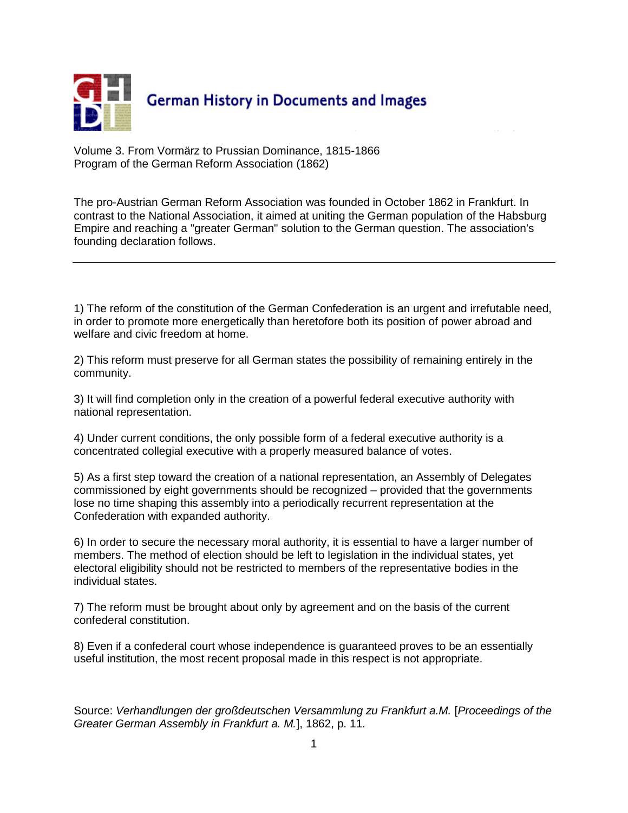

Volume 3. From Vormärz to Prussian Dominance, 1815-1866 Program of the German Reform Association (1862)

The pro-Austrian German Reform Association was founded in October 1862 in Frankfurt. In contrast to the National Association, it aimed at uniting the German population of the Habsburg Empire and reaching a "greater German" solution to the German question. The association's founding declaration follows.

1) The reform of the constitution of the German Confederation is an urgent and irrefutable need, in order to promote more energetically than heretofore both its position of power abroad and welfare and civic freedom at home.

2) This reform must preserve for all German states the possibility of remaining entirely in the community.

3) It will find completion only in the creation of a powerful federal executive authority with national representation.

4) Under current conditions, the only possible form of a federal executive authority is a concentrated collegial executive with a properly measured balance of votes.

5) As a first step toward the creation of a national representation, an Assembly of Delegates commissioned by eight governments should be recognized – provided that the governments lose no time shaping this assembly into a periodically recurrent representation at the Confederation with expanded authority.

6) In order to secure the necessary moral authority, it is essential to have a larger number of members. The method of election should be left to legislation in the individual states, yet electoral eligibility should not be restricted to members of the representative bodies in the individual states.

7) The reform must be brought about only by agreement and on the basis of the current confederal constitution.

8) Even if a confederal court whose independence is guaranteed proves to be an essentially useful institution, the most recent proposal made in this respect is not appropriate.

Source: *Verhandlungen der großdeutschen Versammlung zu Frankfurt a.M.* [*Proceedings of the Greater German Assembly in Frankfurt a. M.*], 1862, p. 11.